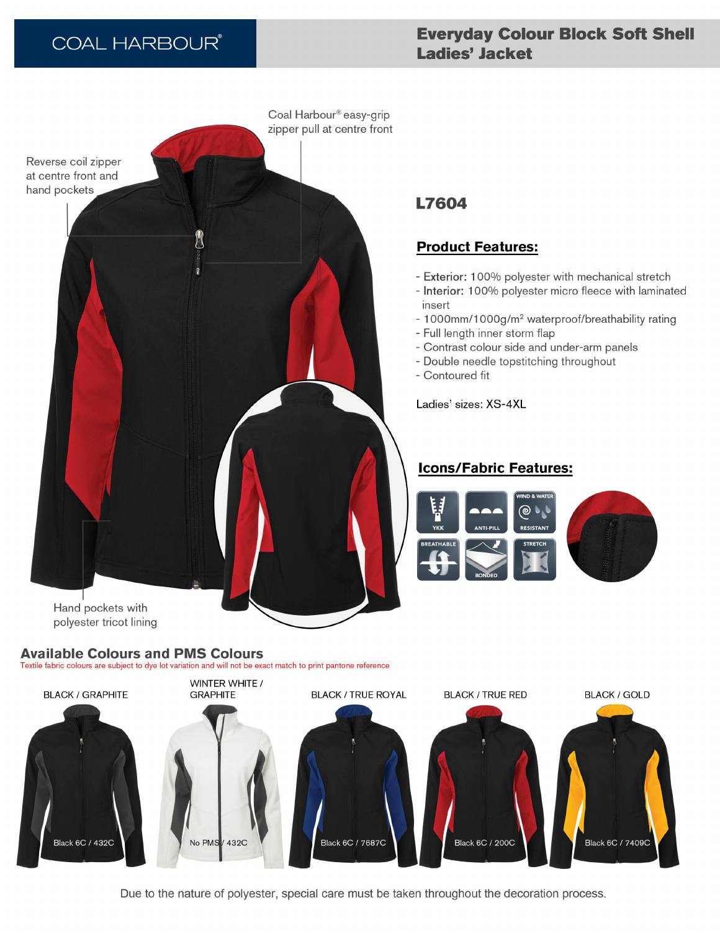# **COAL HARBOUR®**

# **Everyday Colour Block Soft Shell** Ladies' Jacket



## **Available Colours and PMS Colours**

Textile fabric colours are subject to dye lot variation and will not be exact match to print pantone reference

# **L7604**

### **Product Features:**

- Exterior: 100% polyester with mechanical stretch
- Interior: 100% polyester micro fleece with laminated insert
- 1000mm/1000g/m<sup>2</sup> waterproof/breathability rating
- Full length inner storm flap
- Contrast colour side and under-arm panels
- Double needle topstitching throughout
- Contoured fit

Ladies' sizes: XS-4XL

## **Icons/Fabric Features:**





Due to the nature of polyester, special care must be taken throughout the decoration process.